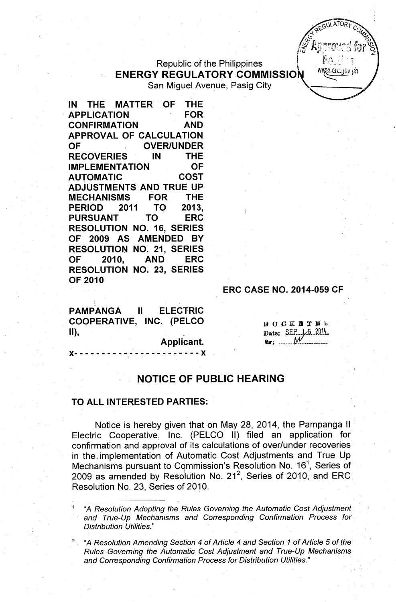## Republic of the Philippines ENERGY REGULATORY COMMISSION WE COLLET San Miguel Avenue, Pasig City

IN THE MATTER OF THE APPLICATION FOR CONFIRMATION AND APPROVAL OF CALCULATION OF OVER/UNDER RECOVERIES IN THE IMPLEMENTATION OF AUTOMATIC COST ADJUSTMENTS AND TRUE UP MECHANISMS FOR THE PERIOD 2011 TO 2013, PURSUANT TO ERC RESOLUTION NO. 16, SERIES OF 2009 AS AMENDED BY RESOLUTION NO. 21, SERIES OF 2010, AND ERC RESOLUTION NO. 23, SERIES OF 2010

ERC CASE NO. 2014-059 CF

PAMPANGA II ELECTRIC COOPERATIVE, INC. (PELCO II), which is a set of  $\mathbb{I}$  ,  $\mathbb{I}$ 

Applicant.

)(- - - - - - - - - - - - - - - - - - - - - - - )( )

DOCKSTEL Date: SEP 1/5 2014

 $\approx$ GULATORY  $\approx$ *~ ~"(; Q4,(*  $^{\circ}$   $^{\circ}$   $^{\circ}$   $^{\circ}$   $^{\circ}$   $^{\circ}$   $^{\circ}$   $^{\circ}$   $^{\circ}$   $^{\circ}$   $^{\circ}$   $^{\circ}$   $^{\circ}$   $^{\circ}$   $^{\circ}$   $^{\circ}$   $^{\circ}$   $^{\circ}$   $^{\circ}$   $^{\circ}$   $^{\circ}$   $^{\circ}$   $^{\circ}$   $^{\circ}$   $^{\circ}$   $^{\circ}$   $^{\circ}$   $^{\circ}$   $^{\circ}$   $^{\circ}$   $^{\circ}$   $^{\circ$  $\mathscr{F}$  Anormed far  $\mathscr{F}$ 

## NOTICE OF PUBLIC HEARING

## TO ALL INTERESTED PARTIES:

Notice is hereby given that on May 28, 2014, the Pampanga II Electric Cooperative, Inc. (PELCO II) filed an application for confirmation and approval of its calculations of over/under recoveries in the implementation of Automatic Cost Adjustments and True Up Mechanisms pursuant to Commission's Resolution No. 16<sup>1</sup>, Series of 2009 as amended by Resolution No. 21<sup>2</sup>, Series of 2010, and ERC Resolution No. 23, Series of 2010.

<sup>1</sup> "A *Resolution Adopting the Rules Governing the Automatic Cost Adjustment anc;l True-Up Mechanisms and Corresponding Confirmation Process for, Distribution Utilities."*

<sup>2</sup> "A *Resolution Amending Section* 4 of *Article* 4 *and Section* 1 of *Article* 5 of *the Rules Governing the Automatic Cost Adjustment and True-Up Mechanisms and Corresponding Confirmation Process for Distribution Utilities." '*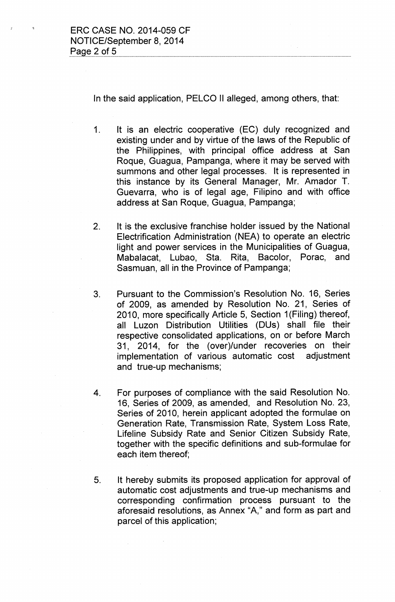In the said application, PELCO II alleged, among others, that:

- 1. It is an electric cooperative (EC) duly recognized and existing under and by virtue of the laws of the Republic of the Philippines, with principal office address at San Roque, Guagua, Pampanga, where it may be served with summons and other legal processes. It is represented in this instance by its General Manager, Mr. Amador T. Guevarra, who is of legal age, Filipino and with office address at San Roque, Guagua, Pampanga;
- 2. It is the exclusive franchise holder issued by the National Electrification Administration (NEA) to operate an electric light and power services in the Municipalities of Guagua, Mabalacat, Lubao, Sta. Rita, Bacolor, Porac, and Sasmuan, all in the Province of Pampanga;
- 3. Pursuant to the Commission's Resolution No. 16, Series of 2009, as amended by Resolution No. 21, Series of 2010, more specifically Article 5, Section 1(Filing) thereof, all Luzon Distribution Utilities (DUs) shall file their respective consolidated applications, on or before March 31, 2014, for the (over)/under recoveries on their implementation of various automatic cost adjustment and true-up mechanisms;
- 4. For purposes of compliance with the said Resolution No. 16, Series of 2009, as amended, and Resolution No. 23, Series of 2010, herein applicant adopted the formulae on Generation Rate, Transmission Rate, System Loss Rate, Lifeline Subsidy Rate and Senior Citizen Subsidy Rate, together with the specific definitions and sub-formulae for each item thereof;
- 5. It hereby submits its proposed application for approval of automatic cost adjustments and true-up mechanisms and corresponding confirmation process pursuant to the aforesaid resolutions, as Annex "A," and form as part and parcel of this application;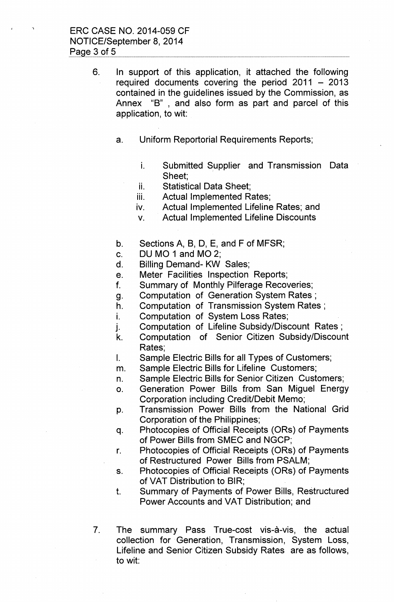6. In support of this application, it attached the following required documents covering the period  $2011 - 2013$ contained in the guidelines issued by the Commission, as Annex "B", and also form as part and parcel of this application, to wit:

- a. Uniform Reportorial Requirements Reports;
	- i. Submitted Supplier and Transmission Data Sheet;
	- ii. Statistical Data Sheet:
	- iii. Actual Implemented Rates;
	- iv. Actual Implemented Lifeline Rates; and
	- v. Actual Implemented Lifeline Discounts
- b. Sections A, B, D, E, and F of MFSR;
- c. DU MO 1 and MO 2;
- d. Billing Demand- KW Sales;
- e. Meter Facilities Inspection Reports;
- f. Summary of Monthly Pilferage Recoveries;
- g. Computation of Generation System Rates;
- h. Computation of Transmission System Rates;
- i. Computation of System Loss Rates;
- j. Computation of Lifeline Subsidy/Discount Rates;
- k. Computation of Senior Citizen Subsidy/Discount Rates;
- I. Sample Electric Bills for all Types of Customers;
- m. Sample Electric Bills for Lifeline Customers;
- n. Sample Electric Bills for Senior Citizen Customers;
- o. Generation Power Bills from San Miguel Energy Corporation including Credit/Debit Memo;
- p. Transmission Power Bills from the National Grid Corporation of the Philippines;
- q. Photocopies of Official Receipts (ORs) of Payments of Power Bills from SMEC and NGCP;
- r. Photocopies of Official Receipts (ORs) of Payments of Restructured Power Bills from PSALM;
- s. Photocopies of Official Receipts (ORs) of Payments of VAT Distribution to BIR;
- t. Summary of Payments of Power Bills, Restructured Power Accounts and VAT Distribution; and
- 7. The summary Pass True-cost vis-à-vis, the actual collection for Generation, Transmission, System Loss, Lifeline and Senior Citizen Subsidy Rates are as follows, to wit: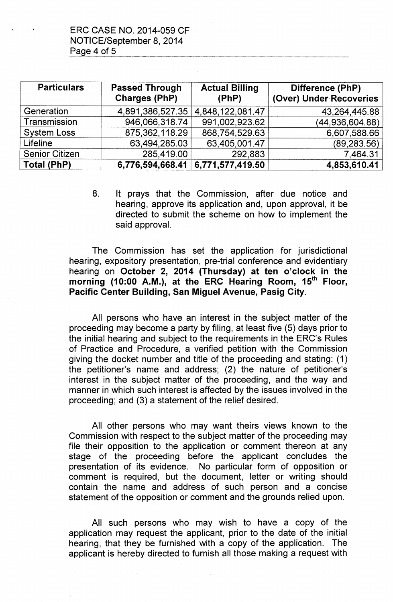| <b>Particulars</b>    | <b>Passed Through</b><br><b>Charges (PhP)</b> | <b>Actual Billing</b><br>(PhP) | Difference (PhP)<br>(Over) Under Recoveries |
|-----------------------|-----------------------------------------------|--------------------------------|---------------------------------------------|
| Generation            | 4,891,386,527.35                              | 4,848,122,081.47               | 43,264,445.88                               |
| Transmission          | 946,066,318.74                                | 991,002,923.62                 | (44,936,604.88)                             |
| <b>System Loss</b>    | 875,362,118.29                                | 868,754,529.63                 | 6,607,588.66                                |
| Lifeline              | 63,494,285.03                                 | 63,405,001.47                  | (89, 283.56)                                |
| <b>Senior Citizen</b> | 285,419.00                                    | 292,883                        | 7,464.31                                    |
| Total (PhP)           | 6,776,594,668.41                              | 6,771,577,419.50               | 4,853,610.41                                |

8. It prays that the Commission, after due notice and hearing, approve its application and, upon approval, it be directed to submit the scheme on how to implement the said approval.

The Commission has set the application for jurisdictional hearing, expository presentation, pre-trial conference and evidentiary hearing on October 2, 2014 (Thursday) at ten o'clock in the morning (10:00 A.M.), at the ERC Hearing Room, 15<sup>th</sup> Floor, Pacific Center Building, San Miguel Avenue, Pasig City.

All persons who have an interest in the subject matter of the proceeding may become a party by filing, at least five (5) days prior to the initial hearing and subject to the requirements in the ERC's Rules of Practice and Procedure, a verified petition with the Commission giving the docket number and title of the proceeding and stating: (1) the petitioner's name and address; (2) the nature of petitioner's interest in the subject matter of the proceeding, and the way and manner in which such interest is affected by the issues involved in the proceeding; and (3) a statement of the relief desired.

All other persons who may want theirs views known to the Commission with respect to the subject matter of the proceeding may file their opposition to the application or comment thereon at any stage of the proceeding before the applicant concludes the presentation of its evidence. No particular form of opposition or comment is required, but the document, letter or writing should contain the name and address of such person and a concise statement of the opposition or comment and the grounds relied upon.

All such persons who may wish to have a copy of the application may request the applicant, prior to the date of the initial hearing, that they be furnished with a copy of the application. The applicant is hereby directed to furnish all those making a request with